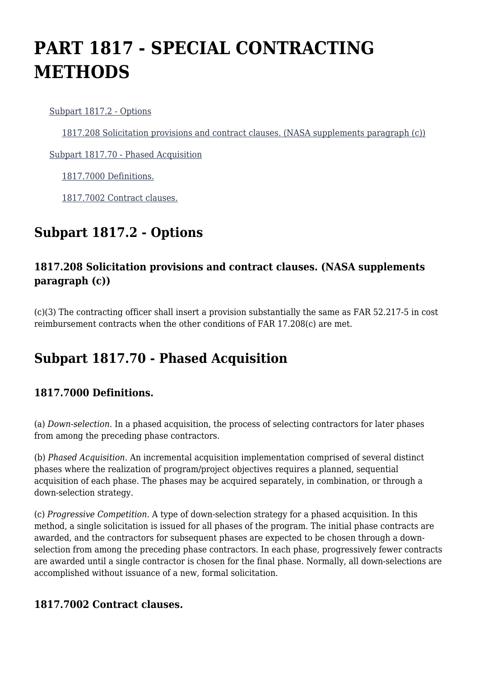# **PART 1817 - SPECIAL CONTRACTING METHODS**

[Subpart 1817.2 - Options](https://login.acquisition.gov/%5Brp:link:nfs-part-1817%5D#Subpart_1817_2_T48_60418161)

[1817.208 Solicitation provisions and contract clauses. \(NASA supplements paragraph \(c\)\)](https://login.acquisition.gov/%5Brp:link:nfs-part-1817%5D#Section_1817_208_T48_6041816111)

[Subpart 1817.70 - Phased Acquisition](https://login.acquisition.gov/%5Brp:link:nfs-part-1817%5D#Subpart_1817_70_T48_60418162)

[1817.7000 Definitions.](https://login.acquisition.gov/%5Brp:link:nfs-part-1817%5D#Section_1817_7000_T48_6041816211)

[1817.7002 Contract clauses.](https://login.acquisition.gov/%5Brp:link:nfs-part-1817%5D#Section_1817_7002_T48_6041816212)

## **Subpart 1817.2 - Options**

### **1817.208 Solicitation provisions and contract clauses. (NASA supplements paragraph (c))**

(c)(3) The contracting officer shall insert a provision substantially the same as FAR 52.217-5 in cost reimbursement contracts when the other conditions of FAR 17.208(c) are met.

## **Subpart 1817.70 - Phased Acquisition**

## **1817.7000 Definitions.**

(a) *Down-selection.* In a phased acquisition, the process of selecting contractors for later phases from among the preceding phase contractors.

(b) *Phased Acquisition.* An incremental acquisition implementation comprised of several distinct phases where the realization of program/project objectives requires a planned, sequential acquisition of each phase. The phases may be acquired separately, in combination, or through a down-selection strategy.

(c) *Progressive Competition.* A type of down-selection strategy for a phased acquisition. In this method, a single solicitation is issued for all phases of the program. The initial phase contracts are awarded, and the contractors for subsequent phases are expected to be chosen through a downselection from among the preceding phase contractors. In each phase, progressively fewer contracts are awarded until a single contractor is chosen for the final phase. Normally, all down-selections are accomplished without issuance of a new, formal solicitation.

#### **1817.7002 Contract clauses.**